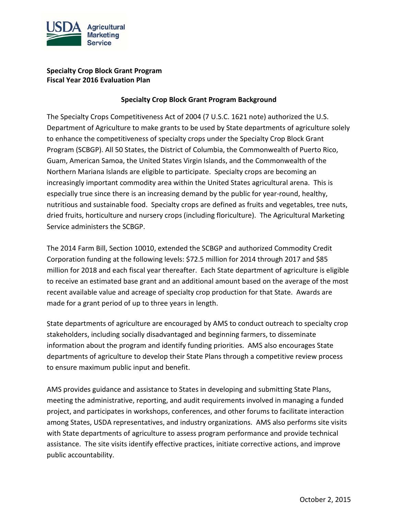

### **Specialty Crop Block Grant Program Fiscal Year 2016 Evaluation Plan**

#### **Specialty Crop Block Grant Program Background**

The Specialty Crops Competitiveness Act of 2004 (7 U.S.C. 1621 note) authorized the U.S. Department of Agriculture to make grants to be used by State departments of agriculture solely to enhance the competitiveness of specialty crops under the Specialty Crop Block Grant Program (SCBGP). All 50 States, the District of Columbia, the Commonwealth of Puerto Rico, Guam, American Samoa, the United States Virgin Islands, and the Commonwealth of the Northern Mariana Islands are eligible to participate. Specialty crops are becoming an increasingly important commodity area within the United States agricultural arena. This is especially true since there is an increasing demand by the public for year-round, healthy, nutritious and sustainable food. Specialty crops are defined as fruits and vegetables, tree nuts, dried fruits, horticulture and nursery crops (including floriculture). The Agricultural Marketing Service administers the SCBGP.

The 2014 Farm Bill, Section 10010, extended the SCBGP and authorized Commodity Credit Corporation funding at the following levels: \$72.5 million for 2014 through 2017 and \$85 million for 2018 and each fiscal year thereafter. Each State department of agriculture is eligible to receive an estimated base grant and an additional amount based on the average of the most recent available value and acreage of specialty crop production for that State. Awards are made for a grant period of up to three years in length.

State departments of agriculture are encouraged by AMS to conduct outreach to specialty crop stakeholders, including socially disadvantaged and beginning farmers, to disseminate information about the program and identify funding priorities. AMS also encourages State departments of agriculture to develop their State Plans through a competitive review process to ensure maximum public input and benefit.

AMS provides guidance and assistance to States in developing and submitting State Plans, meeting the administrative, reporting, and audit requirements involved in managing a funded project, and participates in workshops, conferences, and other forums to facilitate interaction among States, USDA representatives, and industry organizations. AMS also performs site visits with State departments of agriculture to assess program performance and provide technical assistance. The site visits identify effective practices, initiate corrective actions, and improve public accountability.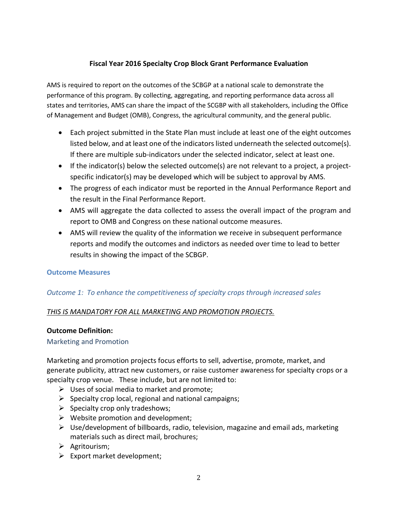### **Fiscal Year 2016 Specialty Crop Block Grant Performance Evaluation**

AMS is required to report on the outcomes of the SCBGP at a national scale to demonstrate the performance of this program. By collecting, aggregating, and reporting performance data across all states and territories, AMS can share the impact of the SCGBP with all stakeholders, including the Office of Management and Budget (OMB), Congress, the agricultural community, and the general public.

- Each project submitted in the State Plan must include at least one of the eight outcomes listed below, and at least one of the indicators listed underneath the selected outcome(s). If there are multiple sub-indicators under the selected indicator, select at least one.
- If the indicator(s) below the selected outcome(s) are not relevant to a project, a projectspecific indicator(s) may be developed which will be subject to approval by AMS.
- The progress of each indicator must be reported in the Annual Performance Report and the result in the Final Performance Report.
- AMS will aggregate the data collected to assess the overall impact of the program and report to OMB and Congress on these national outcome measures.
- AMS will review the quality of the information we receive in subsequent performance reports and modify the outcomes and indictors as needed over time to lead to better results in showing the impact of the SCBGP.

#### **Outcome Measures**

#### *Outcome 1: To enhance the competitiveness of specialty crops through increased sales*

#### *THIS IS MANDATORY FOR ALL MARKETING AND PROMOTION PROJECTS.*

#### **Outcome Definition:**

Marketing and Promotion

Marketing and promotion projects focus efforts to sell, advertise, promote, market, and generate publicity, attract new customers, or raise customer awareness for specialty crops or a specialty crop venue. These include, but are not limited to:

- $\triangleright$  Uses of social media to market and promote;
- $\triangleright$  Specialty crop local, regional and national campaigns;
- $\triangleright$  Specialty crop only tradeshows;
- $\triangleright$  Website promotion and development;
- $\triangleright$  Use/development of billboards, radio, television, magazine and email ads, marketing materials such as direct mail, brochures;
- $\triangleright$  Agritourism;
- $\triangleright$  Export market development;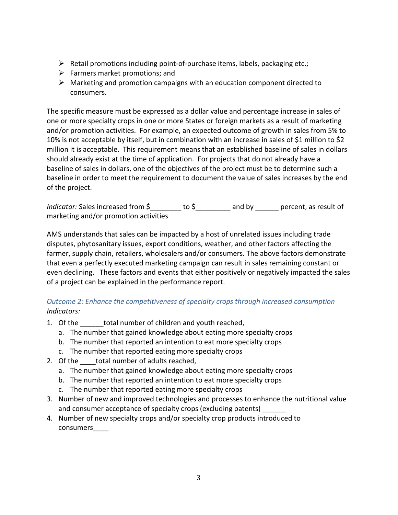- $\triangleright$  Retail promotions including point-of-purchase items, labels, packaging etc.;
- $\triangleright$  Farmers market promotions; and
- $\triangleright$  Marketing and promotion campaigns with an education component directed to consumers.

The specific measure must be expressed as a dollar value and percentage increase in sales of one or more specialty crops in one or more States or foreign markets as a result of marketing and/or promotion activities. For example, an expected outcome of growth in sales from 5% to 10% is not acceptable by itself, but in combination with an increase in sales of \$1 million to \$2 million it is acceptable. This requirement means that an established baseline of sales in dollars should already exist at the time of application. For projects that do not already have a baseline of sales in dollars, one of the objectives of the project must be to determine such a baseline in order to meet the requirement to document the value of sales increases by the end of the project.

*Indicator:* Sales increased from  $\sinh \theta$  to  $\sinh \theta$  and by ercent, as result of marketing and/or promotion activities

AMS understands that sales can be impacted by a host of unrelated issues including trade disputes, phytosanitary issues, export conditions, weather, and other factors affecting the farmer, supply chain, retailers, wholesalers and/or consumers. The above factors demonstrate that even a perfectly executed marketing campaign can result in sales remaining constant or even declining. These factors and events that either positively or negatively impacted the sales of a project can be explained in the performance report.

## *Outcome 2: Enhance the competitiveness of specialty crops through increased consumption Indicators:*

- 1. Of the total number of children and youth reached,
	- a. The number that gained knowledge about eating more specialty crops
	- b. The number that reported an intention to eat more specialty crops
	- c. The number that reported eating more specialty crops
- 2. Of the total number of adults reached,
	- a. The number that gained knowledge about eating more specialty crops
	- b. The number that reported an intention to eat more specialty crops
	- c. The number that reported eating more specialty crops
- 3. Number of new and improved technologies and processes to enhance the nutritional value and consumer acceptance of specialty crops (excluding patents)
- 4. Number of new specialty crops and/or specialty crop products introduced to consumers\_\_\_\_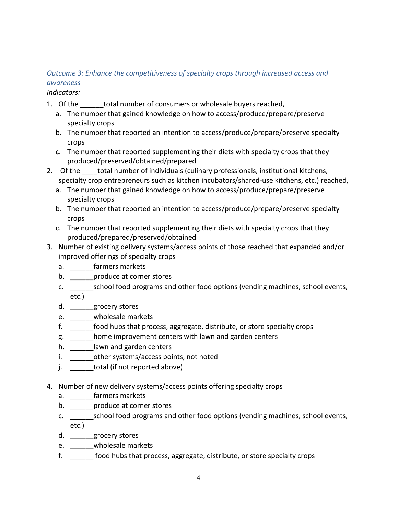# *Outcome 3: Enhance the competitiveness of specialty crops through increased access and awareness*

*Indicators:*

- 1. Of the total number of consumers or wholesale buyers reached,
	- a. The number that gained knowledge on how to access/produce/prepare/preserve specialty crops
	- b. The number that reported an intention to access/produce/prepare/preserve specialty crops
	- c. The number that reported supplementing their diets with specialty crops that they produced/preserved/obtained/prepared
- 2. Of the total number of individuals (culinary professionals, institutional kitchens, specialty crop entrepreneurs such as kitchen incubators/shared-use kitchens, etc.) reached,
	- a. The number that gained knowledge on how to access/produce/prepare/preserve specialty crops
	- b. The number that reported an intention to access/produce/prepare/preserve specialty crops
	- c. The number that reported supplementing their diets with specialty crops that they produced/prepared/preserved/obtained
- 3. Number of existing delivery systems/access points of those reached that expanded and/or improved offerings of specialty crops
	- a. \_\_\_\_\_\_\_farmers markets
	- b. \_\_\_\_\_\_\_produce at corner stores
	- c. \_\_\_\_\_\_school food programs and other food options (vending machines, school events, etc.)
	- d. \_\_\_\_\_\_grocery stores
	- e. \_\_\_\_\_\_wholesale markets
	- f. \_\_\_\_\_\_food hubs that process, aggregate, distribute, or store specialty crops
	- g. \_\_\_\_\_\_home improvement centers with lawn and garden centers
	- h. **Lawn and garden centers**
	- i. buther systems/access points, not noted
	- j. total (if not reported above)
- 4. Number of new delivery systems/access points offering specialty crops
	- a. \_\_\_\_\_\_\_farmers markets
	- b. **produce at corner stores**
	- c. \_\_\_\_\_\_school food programs and other food options (vending machines, school events, etc.)
	- d. \_\_\_\_\_\_grocery stores
	- e. \_\_\_\_\_\_wholesale markets
	- f. \_\_\_\_\_\_ food hubs that process, aggregate, distribute, or store specialty crops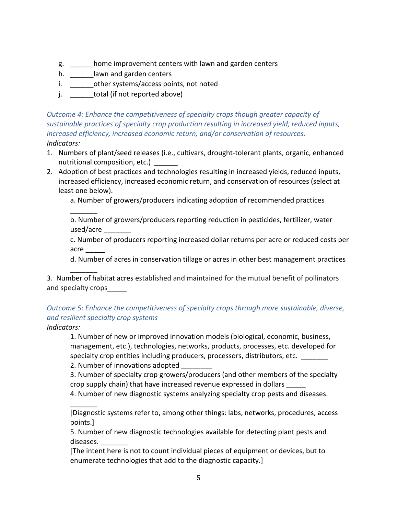- g. \_\_\_\_\_\_home improvement centers with lawn and garden centers
- h. \_\_\_\_\_\_\_\_lawn and garden centers
- i. \_\_\_\_\_\_\_\_other systems/access points, not noted
- j. total (if not reported above)

*Outcome 4: Enhance the competitiveness of specialty crops though greater capacity of sustainable practices of specialty crop production resulting in increased yield, reduced inputs, increased efficiency, increased economic return, and/or conservation of resources. Indicators:*

- 1. Numbers of plant/seed releases (i.e., cultivars, drought-tolerant plants, organic, enhanced nutritional composition, etc.)
- 2. Adoption of best practices and technologies resulting in increased yields, reduced inputs, increased efficiency, increased economic return, and conservation of resources (select at least one below).

a. Number of growers/producers indicating adoption of recommended practices

b. Number of growers/producers reporting reduction in pesticides, fertilizer, water used/acre \_\_\_\_\_\_\_

c. Number of producers reporting increased dollar returns per acre or reduced costs per acre \_\_\_\_\_

d. Number of acres in conservation tillage or acres in other best management practices

3. Number of habitat acres established and maintained for the mutual benefit of pollinators and specialty crops

## *Outcome 5: Enhance the competitiveness of specialty crops through more sustainable, diverse, and resilient specialty crop systems*

*Indicators:* 

 $\overline{\phantom{a}}$ 

 $\overline{\phantom{a}}$ 

\_\_\_\_\_\_\_

1. Number of new or improved innovation models (biological, economic, business, management, etc.), technologies, networks, products, processes, etc. developed for specialty crop entities including producers, processors, distributors, etc. \_\_\_\_\_\_\_

2. Number of innovations adopted

3. Number of specialty crop growers/producers (and other members of the specialty crop supply chain) that have increased revenue expressed in dollars \_\_\_\_\_

4. Number of new diagnostic systems analyzing specialty crop pests and diseases.

[Diagnostic systems refer to, among other things: labs, networks, procedures, access points.]

5. Number of new diagnostic technologies available for detecting plant pests and diseases. \_\_\_\_\_\_\_

[The intent here is not to count individual pieces of equipment or devices, but to enumerate technologies that add to the diagnostic capacity.]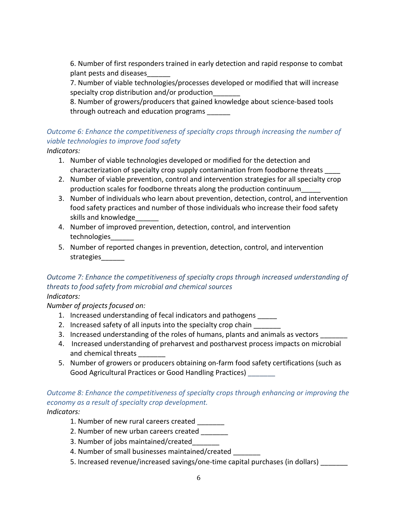6. Number of first responders trained in early detection and rapid response to combat plant pests and diseases\_\_\_\_\_\_

7. Number of viable technologies/processes developed or modified that will increase specialty crop distribution and/or production\_\_\_\_\_\_\_

8. Number of growers/producers that gained knowledge about science-based tools through outreach and education programs

# *Outcome 6: Enhance the competitiveness of specialty crops through increasing the number of viable technologies to improve food safety*

*Indicators:*

- 1. Number of viable technologies developed or modified for the detection and characterization of specialty crop supply contamination from foodborne threats \_\_\_\_
- 2. Number of viable prevention, control and intervention strategies for all specialty crop production scales for foodborne threats along the production continuum\_\_\_\_\_
- 3. Number of individuals who learn about prevention, detection, control, and intervention food safety practices and number of those individuals who increase their food safety skills and knowledge
- 4. Number of improved prevention, detection, control, and intervention technologies\_\_\_\_\_\_
- 5. Number of reported changes in prevention, detection, control, and intervention strategies\_\_\_\_\_\_

# *Outcome 7: Enhance the competitiveness of specialty crops through increased understanding of threats to food safety from microbial and chemical sources*

*Indicators:* 

*Number of projects focused on:*

- 1. Increased understanding of fecal indicators and pathogens \_\_\_\_\_
- 2. Increased safety of all inputs into the specialty crop chain
- 3. Increased understanding of the roles of humans, plants and animals as vectors \_\_\_\_\_\_
- 4. Increased understanding of preharvest and postharvest process impacts on microbial and chemical threats
- 5. Number of growers or producers obtaining on-farm food safety certifications (such as Good Agricultural Practices or Good Handling Practices) \_\_\_\_\_\_\_

# *Outcome 8: Enhance the competitiveness of specialty crops through enhancing or improving the economy as a result of specialty crop development.*

## *Indicators:*

- 1. Number of new rural careers created
- 2. Number of new urban careers created
- 3. Number of jobs maintained/created\_\_\_\_\_\_\_
- 4. Number of small businesses maintained/created
- 5. Increased revenue/increased savings/one-time capital purchases (in dollars)